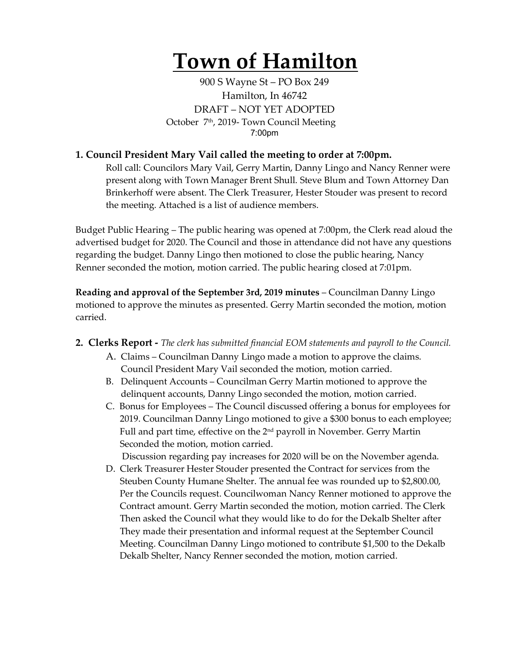# **Town of Hamilton**

900 S Wayne St – PO Box 249 Hamilton, In 46742 DRAFT – NOT YET ADOPTED October 7<sup>th</sup>, 2019- Town Council Meeting 7:00pm

### **1. Council President Mary Vail called the meeting to order at 7:00pm.**

Roll call: Councilors Mary Vail, Gerry Martin, Danny Lingo and Nancy Renner were present along with Town Manager Brent Shull. Steve Blum and Town Attorney Dan Brinkerhoff were absent. The Clerk Treasurer, Hester Stouder was present to record the meeting. Attached is a list of audience members.

Budget Public Hearing – The public hearing was opened at 7:00pm, the Clerk read aloud the advertised budget for 2020. The Council and those in attendance did not have any questions regarding the budget. Danny Lingo then motioned to close the public hearing, Nancy Renner seconded the motion, motion carried. The public hearing closed at 7:01pm.

**Reading and approval of the September 3rd, 2019 minutes** – Councilman Danny Lingo motioned to approve the minutes as presented. Gerry Martin seconded the motion, motion carried.

- **2. Clerks Report -** *The clerk has submitted financial EOM statements and payroll to the Council.* 
	- A. Claims Councilman Danny Lingo made a motion to approve the claims. Council President Mary Vail seconded the motion, motion carried.
	- B. Delinquent Accounts Councilman Gerry Martin motioned to approve the delinquent accounts, Danny Lingo seconded the motion, motion carried.
	- C. Bonus for Employees The Council discussed offering a bonus for employees for 2019. Councilman Danny Lingo motioned to give a \$300 bonus to each employee; Full and part time, effective on the  $2<sup>nd</sup>$  payroll in November. Gerry Martin Seconded the motion, motion carried.

Discussion regarding pay increases for 2020 will be on the November agenda.

D. Clerk Treasurer Hester Stouder presented the Contract for services from the Steuben County Humane Shelter. The annual fee was rounded up to \$2,800.00, Per the Councils request. Councilwoman Nancy Renner motioned to approve the Contract amount. Gerry Martin seconded the motion, motion carried. The Clerk Then asked the Council what they would like to do for the Dekalb Shelter after They made their presentation and informal request at the September Council Meeting. Councilman Danny Lingo motioned to contribute \$1,500 to the Dekalb Dekalb Shelter, Nancy Renner seconded the motion, motion carried.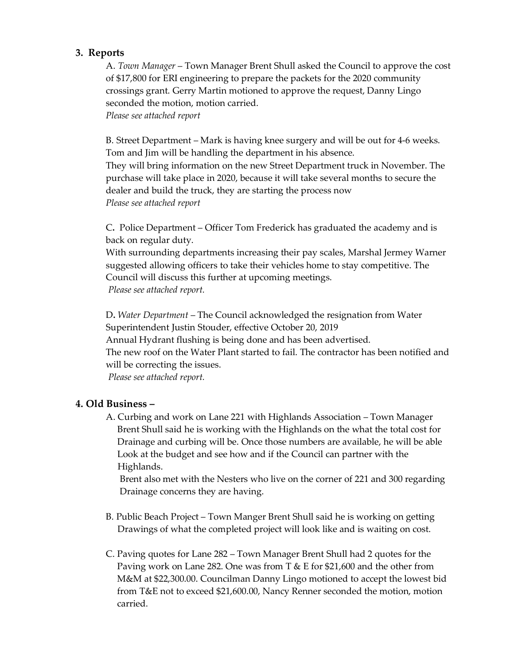### **3. Reports**

A. *Town Manager* – Town Manager Brent Shull asked the Council to approve the cost of \$17,800 for ERI engineering to prepare the packets for the 2020 community crossings grant. Gerry Martin motioned to approve the request, Danny Lingo seconded the motion, motion carried. *Please see attached report*

B. Street Department – Mark is having knee surgery and will be out for 4-6 weeks. Tom and Jim will be handling the department in his absence. They will bring information on the new Street Department truck in November. The purchase will take place in 2020, because it will take several months to secure the dealer and build the truck, they are starting the process now *Please see attached report*

C**.** Police Department – Officer Tom Frederick has graduated the academy and is back on regular duty.

With surrounding departments increasing their pay scales, Marshal Jermey Warner suggested allowing officers to take their vehicles home to stay competitive. The Council will discuss this further at upcoming meetings. *Please see attached report.*

D**.** *Water Department* – The Council acknowledged the resignation from Water Superintendent Justin Stouder, effective October 20, 2019 Annual Hydrant flushing is being done and has been advertised. The new roof on the Water Plant started to fail. The contractor has been notified and will be correcting the issues. *Please see attached report.* 

## **4. Old Business –**

A. Curbing and work on Lane 221 with Highlands Association – Town Manager Brent Shull said he is working with the Highlands on the what the total cost for Drainage and curbing will be. Once those numbers are available, he will be able Look at the budget and see how and if the Council can partner with the Highlands.

 Brent also met with the Nesters who live on the corner of 221 and 300 regarding Drainage concerns they are having.

- B. Public Beach Project Town Manger Brent Shull said he is working on getting Drawings of what the completed project will look like and is waiting on cost.
- C. Paving quotes for Lane 282 Town Manager Brent Shull had 2 quotes for the Paving work on Lane 282. One was from  $T \& E$  for \$21,600 and the other from M&M at \$22,300.00. Councilman Danny Lingo motioned to accept the lowest bid from T&E not to exceed \$21,600.00, Nancy Renner seconded the motion, motion carried.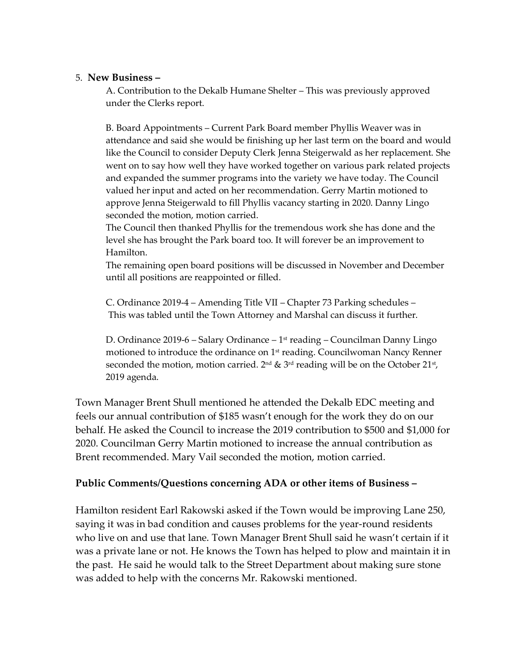#### 5. **New Business –**

A. Contribution to the Dekalb Humane Shelter – This was previously approved under the Clerks report.

B. Board Appointments – Current Park Board member Phyllis Weaver was in attendance and said she would be finishing up her last term on the board and would like the Council to consider Deputy Clerk Jenna Steigerwald as her replacement. She went on to say how well they have worked together on various park related projects and expanded the summer programs into the variety we have today. The Council valued her input and acted on her recommendation. Gerry Martin motioned to approve Jenna Steigerwald to fill Phyllis vacancy starting in 2020. Danny Lingo seconded the motion, motion carried.

The Council then thanked Phyllis for the tremendous work she has done and the level she has brought the Park board too. It will forever be an improvement to Hamilton.

The remaining open board positions will be discussed in November and December until all positions are reappointed or filled.

C. Ordinance 2019-4 – Amending Title VII – Chapter 73 Parking schedules – This was tabled until the Town Attorney and Marshal can discuss it further.

D. Ordinance 2019-6 – Salary Ordinance –  $1<sup>st</sup>$  reading – Councilman Danny Lingo motioned to introduce the ordinance on  $1<sup>st</sup>$  reading. Councilwoman Nancy Renner seconded the motion, motion carried.  $2^{nd}$  &  $3^{rd}$  reading will be on the October  $21^{st}$ , 2019 agenda.

Town Manager Brent Shull mentioned he attended the Dekalb EDC meeting and feels our annual contribution of \$185 wasn't enough for the work they do on our behalf. He asked the Council to increase the 2019 contribution to \$500 and \$1,000 for 2020. Councilman Gerry Martin motioned to increase the annual contribution as Brent recommended. Mary Vail seconded the motion, motion carried.

## **Public Comments/Questions concerning ADA or other items of Business –**

Hamilton resident Earl Rakowski asked if the Town would be improving Lane 250, saying it was in bad condition and causes problems for the year-round residents who live on and use that lane. Town Manager Brent Shull said he wasn't certain if it was a private lane or not. He knows the Town has helped to plow and maintain it in the past. He said he would talk to the Street Department about making sure stone was added to help with the concerns Mr. Rakowski mentioned.